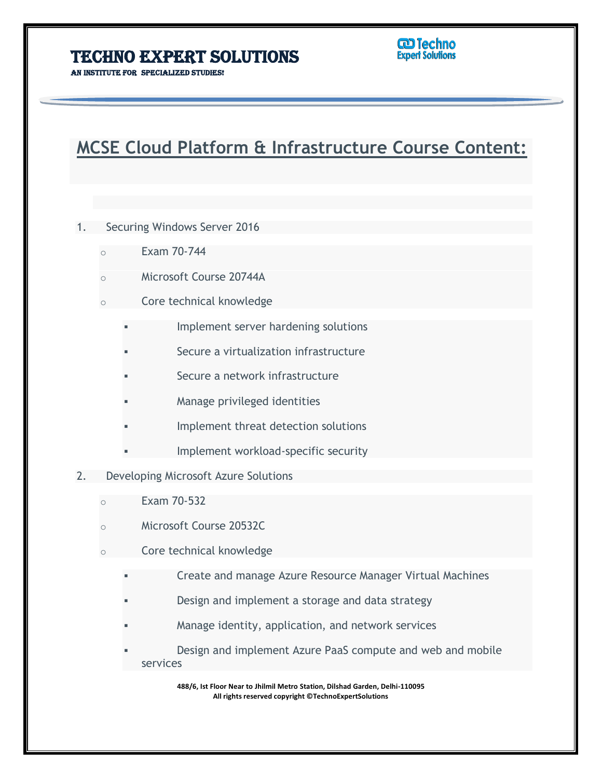AN INSTITUTE FOR SPECIALIZED STUDIES!

# **MCSE Cloud Platform & Infrastructure Course Content:**

L

- 1. Securing Windows Server 2016
	- o Exam 70-744
	- Microsoft Course 20744A
	- o Core technical knowledge
		- Implement server hardening solutions
		- Secure a virtualization infrastructure
		- Secure a network infrastructure
		- Manage privileged identities
		- Implement threat detection solutions
		- Implement workload-specific security
- 2. Developing Microsoft Azure Solutions
	- $\circ$  Fxam 70-532
	- Microsoft Course 20532C
	- o Core technical knowledge
		- Create and manage Azure Resource Manager Virtual Machines
		- Design and implement a storage and data strategy
		- Manage identity, application, and network services
		- Design and implement Azure PaaS compute and web and mobile services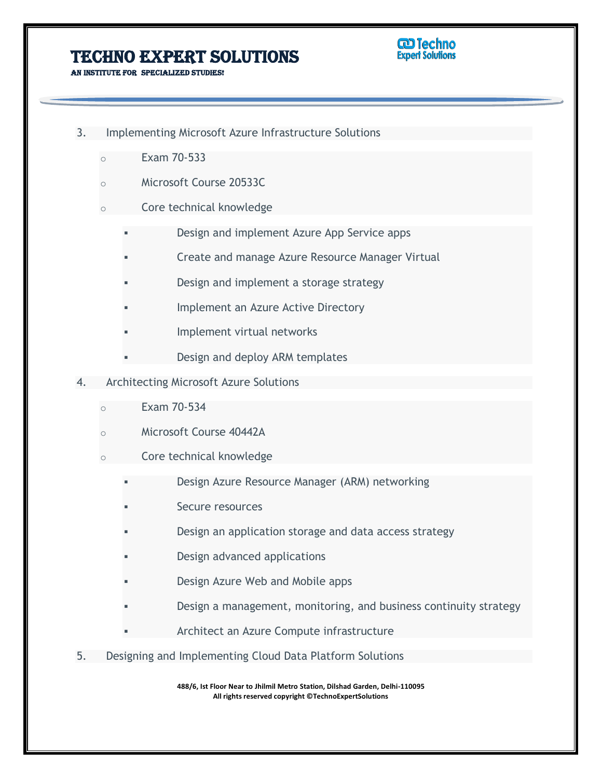AN INSTITUTE FOR SPECIALIZED STUDIES!



- 3. Implementing Microsoft Azure Infrastructure Solutions
	- o Exam 70-533
	- Microsoft Course 20533C
	- o Core technical knowledge
		- Design and implement Azure App Service apps
		- Create and manage Azure Resource Manager Virtual

L

- Design and implement a storage strategy
- Implement an Azure Active Directory
- Implement virtual networks
- Design and deploy ARM templates
- 4. Architecting Microsoft Azure Solutions
	- o Exam 70-534
	- Microsoft Course 40442A
	- o Core technical knowledge
		- Design Azure Resource Manager (ARM) networking
		- Secure resources
		- Design an application storage and data access strategy
		- Design advanced applications
		- Design Azure Web and Mobile apps
		- Design a management, monitoring, and business continuity strategy
		- Architect an Azure Compute infrastructure
- 5. Designing and Implementing Cloud Data Platform Solutions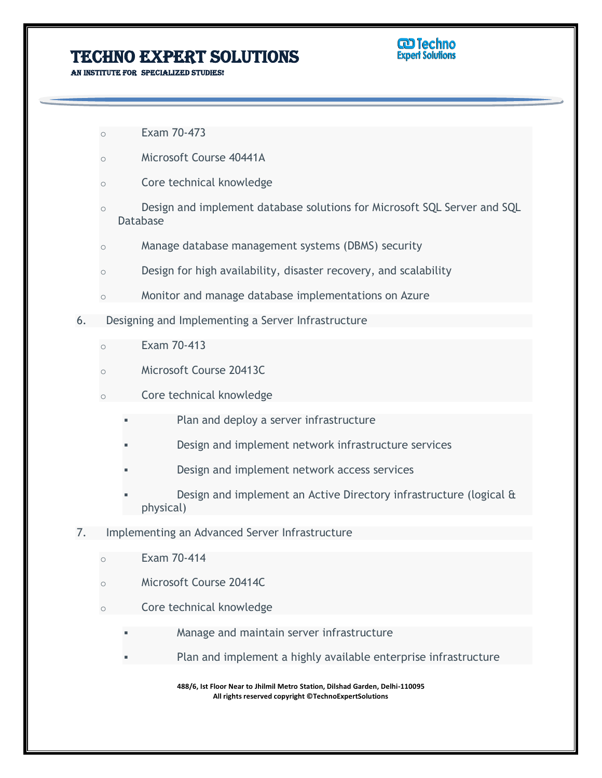**GD Techno Expert Solutions** 

AN INSTITUTE FOR SPECIALIZED STUDIES!

- o Exam 70-473
- o Microsoft Course 40441A
- o Core technical knowledge
- o Design and implement database solutions for Microsoft SQL Server and SQL Database

L

- o Manage database management systems (DBMS) security
- o Design for high availability, disaster recovery, and scalability
- o Monitor and manage database implementations on Azure
- 6. Designing and Implementing a Server Infrastructure
	- o Exam 70-413
	- o Microsoft Course 20413C
	- o Core technical knowledge
		- Plan and deploy a server infrastructure
		- Design and implement network infrastructure services
		- Design and implement network access services
		- Design and implement an Active Directory infrastructure (logical & physical)
- 7. Implementing an Advanced Server Infrastructure
	- o Exam 70-414
	- Microsoft Course 20414C
	- Core technical knowledge
		- Manage and maintain server infrastructure
		- Plan and implement a highly available enterprise infrastructure
			- **488/6, Ist Floor Near to Jhilmil Metro Station, Dilshad Garden, Delhi-110095 All rights reserved copyright ©TechnoExpertSolutions**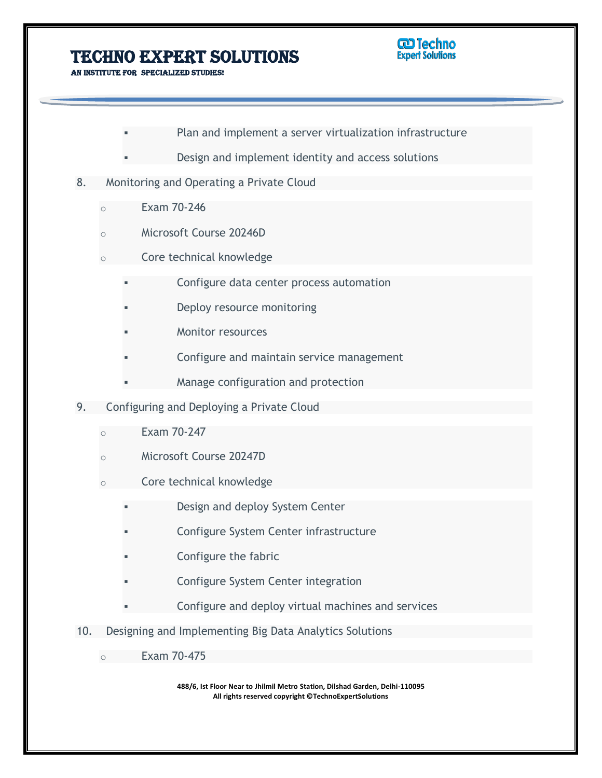

AN INSTITUTE FOR SPECIALIZED STUDIES!

Plan and implement a server virtualization infrastructure

L

- Design and implement identity and access solutions
- 8. Monitoring and Operating a Private Cloud
	- o Exam 70-246
	- Microsoft Course 20246D
	- Core technical knowledge
		- Configure data center process automation
		- Deploy resource monitoring
		- Monitor resources
		- Configure and maintain service management
		- Manage configuration and protection
- 9. Configuring and Deploying a Private Cloud
	- Exam 70-247
	- o Microsoft Course 20247D
	- o Core technical knowledge
		- Design and deploy System Center
		- Configure System Center infrastructure
		- Configure the fabric
		- Configure System Center integration
		- Configure and deploy virtual machines and services
- 10. Designing and Implementing Big Data Analytics Solutions
	- o Exam 70-475